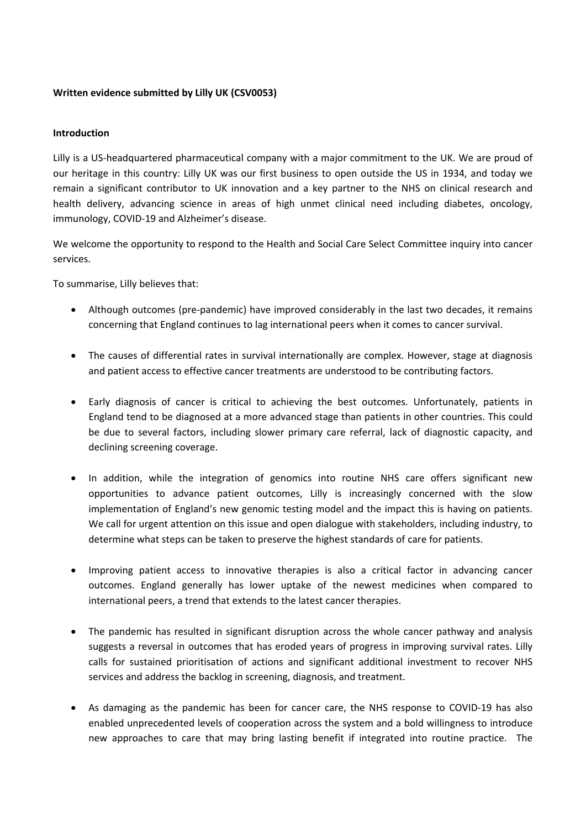## **Written evidence submitted by Lilly UK (CSV0053)**

## **Introduction**

Lilly is a US-headquartered pharmaceutical company with a major commitment to the UK. We are proud of our heritage in this country: Lilly UK was our first business to open outside the US in 1934, and today we remain a significant contributor to UK innovation and a key partner to the NHS on clinical research and health delivery, advancing science in areas of high unmet clinical need including diabetes, oncology, immunology, COVID-19 and Alzheimer's disease.

We welcome the opportunity to respond to the Health and Social Care Select Committee inquiry into cancer services.

To summarise, Lilly believes that:

- Although outcomes (pre-pandemic) have improved considerably in the last two decades, it remains concerning that England continues to lag international peers when it comes to cancer survival.
- The causes of differential rates in survival internationally are complex. However, stage at diagnosis and patient access to effective cancer treatments are understood to be contributing factors.
- Early diagnosis of cancer is critical to achieving the best outcomes. Unfortunately, patients in England tend to be diagnosed at a more advanced stage than patients in other countries. This could be due to several factors, including slower primary care referral, lack of diagnostic capacity, and declining screening coverage.
- In addition, while the integration of genomics into routine NHS care offers significant new opportunities to advance patient outcomes, Lilly is increasingly concerned with the slow implementation of England's new genomic testing model and the impact this is having on patients. We call for urgent attention on this issue and open dialogue with stakeholders, including industry, to determine what steps can be taken to preserve the highest standards of care for patients.
- Improving patient access to innovative therapies is also a critical factor in advancing cancer outcomes. England generally has lower uptake of the newest medicines when compared to international peers, a trend that extends to the latest cancer therapies.
- The pandemic has resulted in significant disruption across the whole cancer pathway and analysis suggests a reversal in outcomes that has eroded years of progress in improving survival rates. Lilly calls for sustained prioritisation of actions and significant additional investment to recover NHS services and address the backlog in screening, diagnosis, and treatment.
- As damaging as the pandemic has been for cancer care, the NHS response to COVID-19 has also enabled unprecedented levels of cooperation across the system and a bold willingness to introduce new approaches to care that may bring lasting benefit if integrated into routine practice. The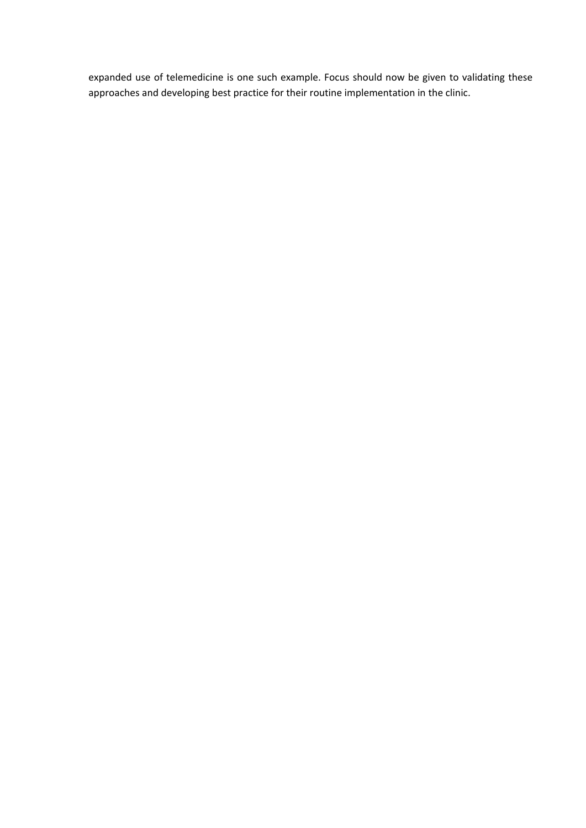expanded use of telemedicine is one such example. Focus should now be given to validating these approaches and developing best practice for their routine implementation in the clinic.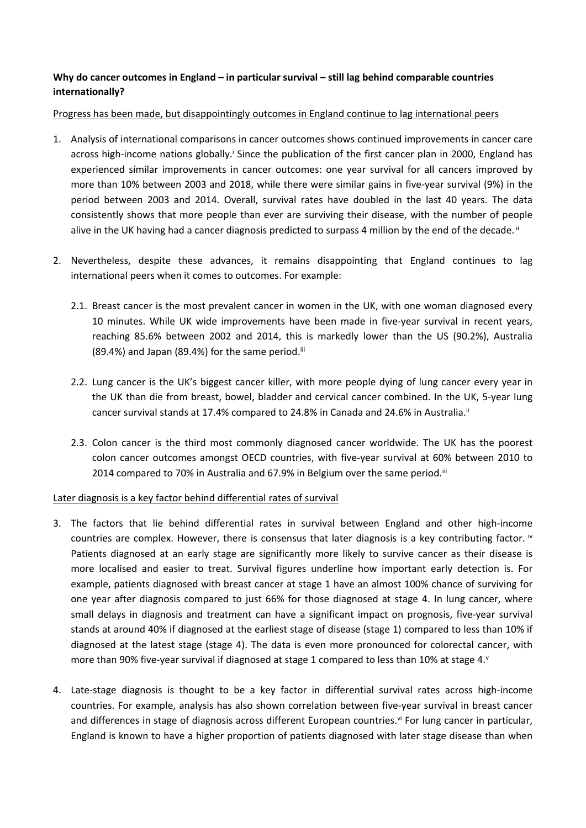# **Why do cancer outcomes in England – in particular survival – still lag behind comparable countries internationally?**

## Progress has been made, but disappointingly outcomes in England continue to lag international peers

- 1. Analysis of international comparisons in cancer outcomes shows continued improvements in cancer care across high-income nations globally.<sup>*i*</sup> Since the publication of the first cancer plan in 2000, England has experienced similar improvements in cancer outcomes: one year survival for all cancers improved by more than 10% between 2003 and 2018, while there were similar gains in five-year survival (9%) in the period between 2003 and 2014. Overall, survival rates have doubled in the last 40 years. The data consistently shows that more people than ever are surviving their disease, with the number of people alive in the UK having had a cancer diagnosis predicted to surpass 4 million by the end of the decade. II
- <span id="page-2-1"></span><span id="page-2-0"></span>2. Nevertheless, despite these advances, it remains disappointing that England continues to lag international peers when it comes to outcomes. For example:
	- 2.1. Breast cancer is the most prevalent cancer in women in the UK, with one woman diagnosed every 10 minutes. While UK wide improvements have been made in five-year survival in recent years, reaching 85.6% between 2002 and 2014, this is markedly lower than the US (90.2%), Australia  $(89.4%)$  and Japan  $(89.4%)$  for the same period.<sup>iii</sup>
	- 2.2. Lung cancer is the UK's biggest cancer killer, with more people dying of lung cancer every year in the UK than die from breast, bowel, bladder and cervical cancer combined. In the UK, 5-year lung cancer survival stands at 17.4% compared to 24.8% in Canada and 24.6% in Australia.<sup>[ii](#page-2-0)</sup>
	- 2.3. Colon cancer is the third most commonly diagnosed cancer worldwide. The UK has the poorest colon cancer outcomes amongst OECD countries, with five-year survival at 60% between 2010 to 2014 compared to 70% in Australia and 67.9% in Belgium over the same period.<sup>[iii](#page-2-1)</sup>

## Later diagnosis is a key factor behind differential rates of survival

- 3. The factors that lie behind differential rates in survival between England and other high-income countries are complex. However, there is consensus that later diagnosis is a key contributing factor.  $\dot{v}$ Patients diagnosed at an early stage are significantly more likely to survive cancer as their disease is more localised and easier to treat. Survival figures underline how important early detection is. For example, patients diagnosed with breast cancer at stage 1 have an almost 100% chance of surviving for one year after diagnosis compared to just 66% for those diagnosed at stage 4. In lung cancer, where small delays in diagnosis and treatment can have a significant impact on prognosis, five-year survival stands at around 40% if diagnosed at the earliest stage of disease (stage 1) compared to less than 10% if diagnosed at the latest stage (stage 4). The data is even more pronounced for colorectal cancer, with more than 90% five-year survival if diagnosed at stage 1 compared to less than 10% at stage 4. $\degree$
- 4. Late-stage diagnosis is thought to be a key factor in differential survival rates across high-income countries. For example, analysis has also shown correlation between five-year survival in breast cancer and differences in stage of diagnosis across different European countries.<sup>vi</sup> For lung cancer in particular, England is known to have a higher proportion of patients diagnosed with later stage disease than when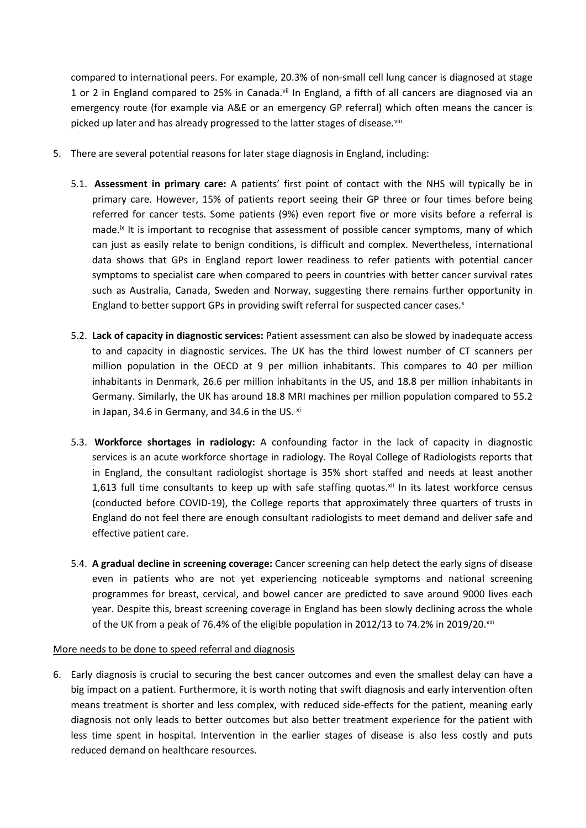compared to international peers. For example, 20.3% of non-small cell lung cancer is diagnosed at stage 1 or 2 in England compared to 25% in Canada.<sup>vii</sup> In England, a fifth of all cancers are diagnosed via an emergency route (for example via A&E or an emergency GP referral) which often means the cancer is picked up later and has already progressed to the latter stages of disease.<sup>viii</sup>

- 5. There are several potential reasons for later stage diagnosis in England, including:
	- 5.1. **Assessment in primary care:** A patients' first point of contact with the NHS will typically be in primary care. However, 15% of patients report seeing their GP three or four times before being referred for cancer tests. Some patients (9%) even report five or more visits before a referral is made.<sup>ix</sup> It is important to recognise that assessment of possible cancer symptoms, many of which can just as easily relate to benign conditions, is difficult and complex. Nevertheless, international data shows that GPs in England report lower readiness to refer patients with potential cancer symptoms to specialist care when compared to peers in countries with better cancer survival rates such as Australia, Canada, Sweden and Norway, suggesting there remains further opportunity in England to better support GPs in providing swift referral for suspected cancer cases.<sup>x</sup>
	- 5.2. **Lack of capacity in diagnostic services:** Patient assessment can also be slowed by inadequate access to and capacity in diagnostic services. The UK has the third lowest number of CT scanners per million population in the OECD at 9 per million inhabitants. This compares to 40 per million inhabitants in Denmark, 26.6 per million inhabitants in the US, and 18.8 per million inhabitants in Germany. Similarly, the UK has around 18.8 MRI machines per million population compared to 55.2 in Japan, 34.6 in Germany, and 34.6 in the US.  $xi$
	- 5.3. **Workforce shortages in radiology:** A confounding factor in the lack of capacity in diagnostic services is an acute workforce shortage in radiology. The Royal College of Radiologists reports that in England, the consultant radiologist shortage is 35% short staffed and needs at least another 1,613 full time consultants to keep up with safe staffing quotas. Xii In its latest workforce census (conducted before COVID-19), the College reports that approximately three quarters of trusts in England do not feel there are enough consultant radiologists to meet demand and deliver safe and effective patient care.
	- 5.4. **A gradual decline in screening coverage:** Cancer screening can help detect the early signs of disease even in patients who are not yet experiencing noticeable symptoms and national screening programmes for breast, cervical, and bowel cancer are predicted to save around 9000 lives each year. Despite this, breast screening coverage in England has been slowly declining across the whole of the UK from a peak of 76.4% of the eligible population in 2012/13 to 74.2% in 2019/20.xiii

#### More needs to be done to speed referral and diagnosis

6. Early diagnosis is crucial to securing the best cancer outcomes and even the smallest delay can have a big impact on a patient. Furthermore, it is worth noting that swift diagnosis and early intervention often means treatment is shorter and less complex, with reduced side-effects for the patient, meaning early diagnosis not only leads to better outcomes but also better treatment experience for the patient with less time spent in hospital. Intervention in the earlier stages of disease is also less costly and puts reduced demand on healthcare resources.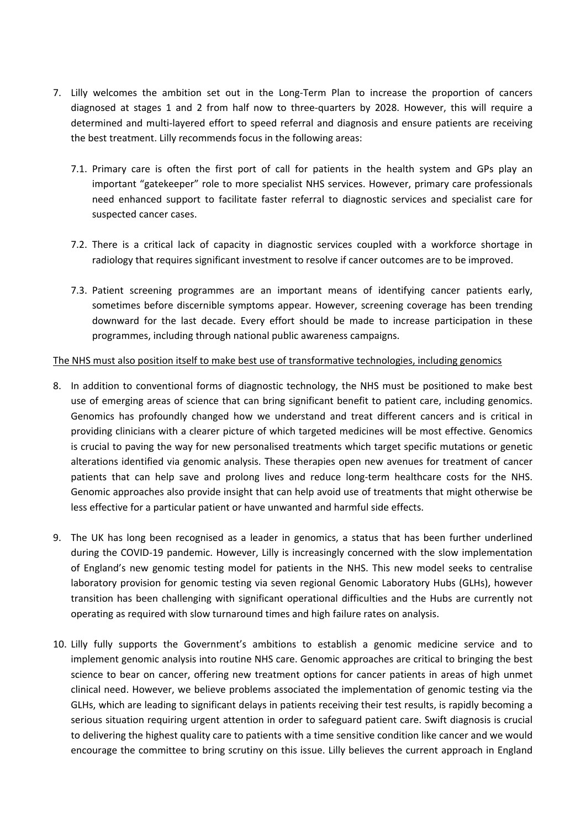- 7. Lilly welcomes the ambition set out in the Long-Term Plan to increase the proportion of cancers diagnosed at stages 1 and 2 from half now to three-quarters by 2028. However, this will require a determined and multi-layered effort to speed referral and diagnosis and ensure patients are receiving the best treatment. Lilly recommends focus in the following areas:
	- 7.1. Primary care is often the first port of call for patients in the health system and GPs play an important "gatekeeper" role to more specialist NHS services. However, primary care professionals need enhanced support to facilitate faster referral to diagnostic services and specialist care for suspected cancer cases.
	- 7.2. There is a critical lack of capacity in diagnostic services coupled with a workforce shortage in radiology that requires significant investment to resolve if cancer outcomes are to be improved.
	- 7.3. Patient screening programmes are an important means of identifying cancer patients early, sometimes before discernible symptoms appear. However, screening coverage has been trending downward for the last decade. Every effort should be made to increase participation in these programmes, including through national public awareness campaigns.

## The NHS must also position itself to make best use of transformative technologies, including genomics

- 8. In addition to conventional forms of diagnostic technology, the NHS must be positioned to make best use of emerging areas of science that can bring significant benefit to patient care, including genomics. Genomics has profoundly changed how we understand and treat different cancers and is critical in providing clinicians with a clearer picture of which targeted medicines will be most effective. Genomics is crucial to paving the way for new personalised treatments which target specific mutations or genetic alterations identified via genomic analysis. These therapies open new avenues for treatment of cancer patients that can help save and prolong lives and reduce long-term healthcare costs for the NHS. Genomic approaches also provide insight that can help avoid use of treatments that might otherwise be less effective for a particular patient or have unwanted and harmful side effects.
- 9. The UK has long been recognised as a leader in genomics, a status that has been further underlined during the COVID-19 pandemic. However, Lilly is increasingly concerned with the slow implementation of England's new genomic testing model for patients in the NHS. This new model seeks to centralise laboratory provision for genomic testing via seven regional Genomic Laboratory Hubs (GLHs), however transition has been challenging with significant operational difficulties and the Hubs are currently not operating as required with slow turnaround times and high failure rates on analysis.
- 10. Lilly fully supports the Government's ambitions to establish a genomic medicine service and to implement genomic analysis into routine NHS care. Genomic approaches are critical to bringing the best science to bear on cancer, offering new treatment options for cancer patients in areas of high unmet clinical need. However, we believe problems associated the implementation of genomic testing via the GLHs, which are leading to significant delays in patients receiving their test results, is rapidly becoming a serious situation requiring urgent attention in order to safeguard patient care. Swift diagnosis is crucial to delivering the highest quality care to patients with a time sensitive condition like cancer and we would encourage the committee to bring scrutiny on this issue. Lilly believes the current approach in England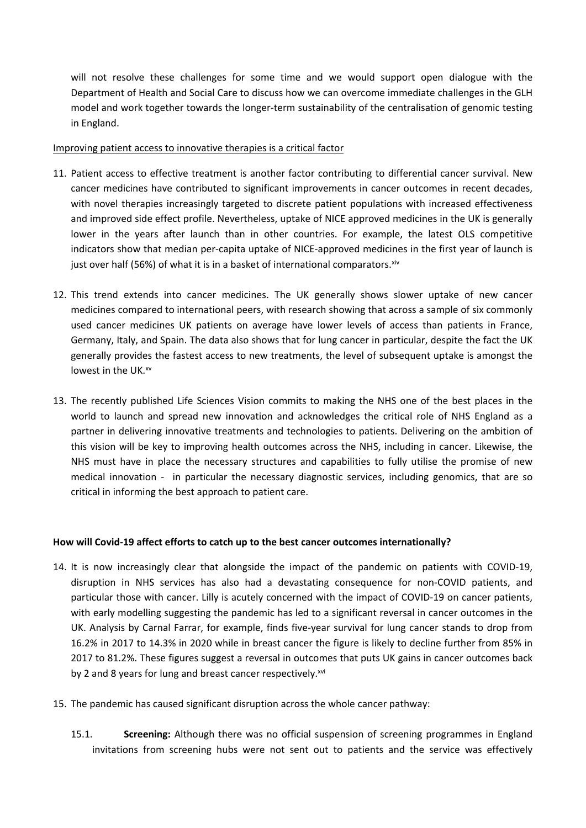will not resolve these challenges for some time and we would support open dialogue with the Department of Health and Social Care to discuss how we can overcome immediate challenges in the GLH model and work together towards the longer-term sustainability of the centralisation of genomic testing in England.

## Improving patient access to innovative therapies is a critical factor

- 11. Patient access to effective treatment is another factor contributing to differential cancer survival. New cancer medicines have contributed to significant improvements in cancer outcomes in recent decades, with novel therapies increasingly targeted to discrete patient populations with increased effectiveness and improved side effect profile. Nevertheless, uptake of NICE approved medicines in the UK is generally lower in the years after launch than in other countries. For example, the latest OLS competitive indicators show that median per-capita uptake of NICE-approved medicines in the first year of launch is just over half (56%) of what it is in a basket of international comparators. $x^{i}$
- 12. This trend extends into cancer medicines. The UK generally shows slower uptake of new cancer medicines compared to international peers, with research showing that across a sample of six commonly used cancer medicines UK patients on average have lower levels of access than patients in France, Germany, Italy, and Spain. The data also shows that for lung cancer in particular, despite the fact the UK generally provides the fastest access to new treatments, the level of subsequent uptake is amongst the lowest in the UK.xv
- 13. The recently published Life Sciences Vision commits to making the NHS one of the best places in the world to launch and spread new innovation and acknowledges the critical role of NHS England as a partner in delivering innovative treatments and technologies to patients. Delivering on the ambition of this vision will be key to improving health outcomes across the NHS, including in cancer. Likewise, the NHS must have in place the necessary structures and capabilities to fully utilise the promise of new medical innovation - in particular the necessary diagnostic services, including genomics, that are so critical in informing the best approach to patient care.

## **How will Covid-19 affect efforts to catch up to the best cancer outcomes internationally?**

- 14. It is now increasingly clear that alongside the impact of the pandemic on patients with COVID-19, disruption in NHS services has also had a devastating consequence for non-COVID patients, and particular those with cancer. Lilly is acutely concerned with the impact of COVID-19 on cancer patients, with early modelling suggesting the pandemic has led to a significant reversal in cancer outcomes in the UK. Analysis by Carnal Farrar, for example, finds five-year survival for lung cancer stands to drop from 16.2% in 2017 to 14.3% in 2020 while in breast cancer the figure is likely to decline further from 85% in 2017 to 81.2%. These figures suggest a reversal in outcomes that puts UK gains in cancer outcomes back by 2 and 8 years for lung and breast cancer respectively.xvi
- 15. The pandemic has caused significant disruption across the whole cancer pathway:
	- 15.1. **Screening:** Although there was no official suspension of screening programmes in England invitations from screening hubs were not sent out to patients and the service was effectively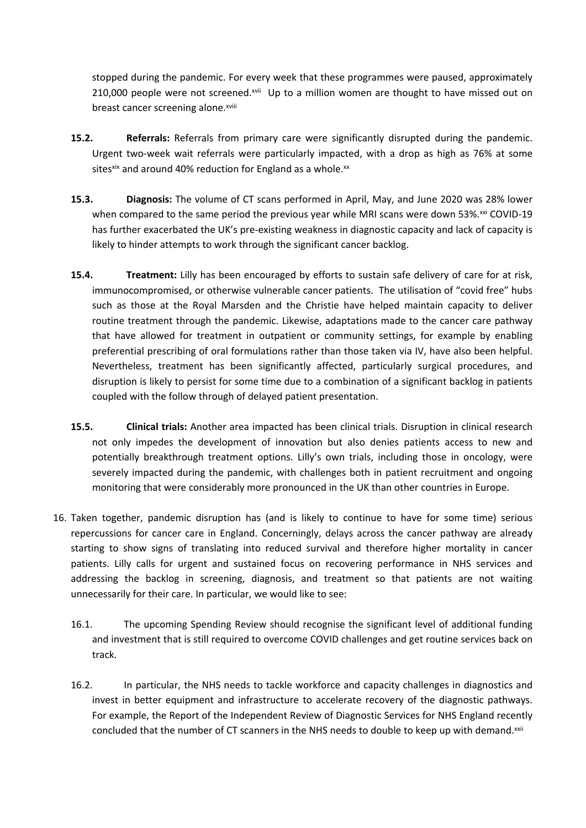stopped during the pandemic. For every week that these programmes were paused, approximately 210,000 people were not screened.xvii Up to a million women are thought to have missed out on breast cancer screening alone.xviii

- **15.2. Referrals:** Referrals from primary care were significantly disrupted during the pandemic. Urgent two-week wait referrals were particularly impacted, with a drop as high as 76% at some sitesxix and around 40% reduction for England as a whole. $xx$
- **15.3. Diagnosis:** The volume of CT scans performed in April, May, and June 2020 was 28% lower when compared to the same period the previous year while MRI scans were down 53%.xxi COVID-19 has further exacerbated the UK's pre-existing weakness in diagnostic capacity and lack of capacity is likely to hinder attempts to work through the significant cancer backlog.
- **15.4. Treatment:** Lilly has been encouraged by efforts to sustain safe delivery of care for at risk, immunocompromised, or otherwise vulnerable cancer patients. The utilisation of "covid free" hubs such as those at the Royal Marsden and the Christie have helped maintain capacity to deliver routine treatment through the pandemic. Likewise, adaptations made to the cancer care pathway that have allowed for treatment in outpatient or community settings, for example by enabling preferential prescribing of oral formulations rather than those taken via IV, have also been helpful. Nevertheless, treatment has been significantly affected, particularly surgical procedures, and disruption is likely to persist for some time due to a combination of a significant backlog in patients coupled with the follow through of delayed patient presentation.
- **15.5. Clinical trials:** Another area impacted has been clinical trials. Disruption in clinical research not only impedes the development of innovation but also denies patients access to new and potentially breakthrough treatment options. Lilly's own trials, including those in oncology, were severely impacted during the pandemic, with challenges both in patient recruitment and ongoing monitoring that were considerably more pronounced in the UK than other countries in Europe.
- 16. Taken together, pandemic disruption has (and is likely to continue to have for some time) serious repercussions for cancer care in England. Concerningly, delays across the cancer pathway are already starting to show signs of translating into reduced survival and therefore higher mortality in cancer patients. Lilly calls for urgent and sustained focus on recovering performance in NHS services and addressing the backlog in screening, diagnosis, and treatment so that patients are not waiting unnecessarily for their care. In particular, we would like to see:
	- 16.1. The upcoming Spending Review should recognise the significant level of additional funding and investment that is still required to overcome COVID challenges and get routine services back on track.
	- 16.2. In particular, the NHS needs to tackle workforce and capacity challenges in diagnostics and invest in better equipment and infrastructure to accelerate recovery of the diagnostic pathways. For example, the Report of the Independent Review of Diagnostic Services for NHS England recently concluded that the number of CT scanners in the NHS needs to double to keep up with demand.<sup>xxii</sup>